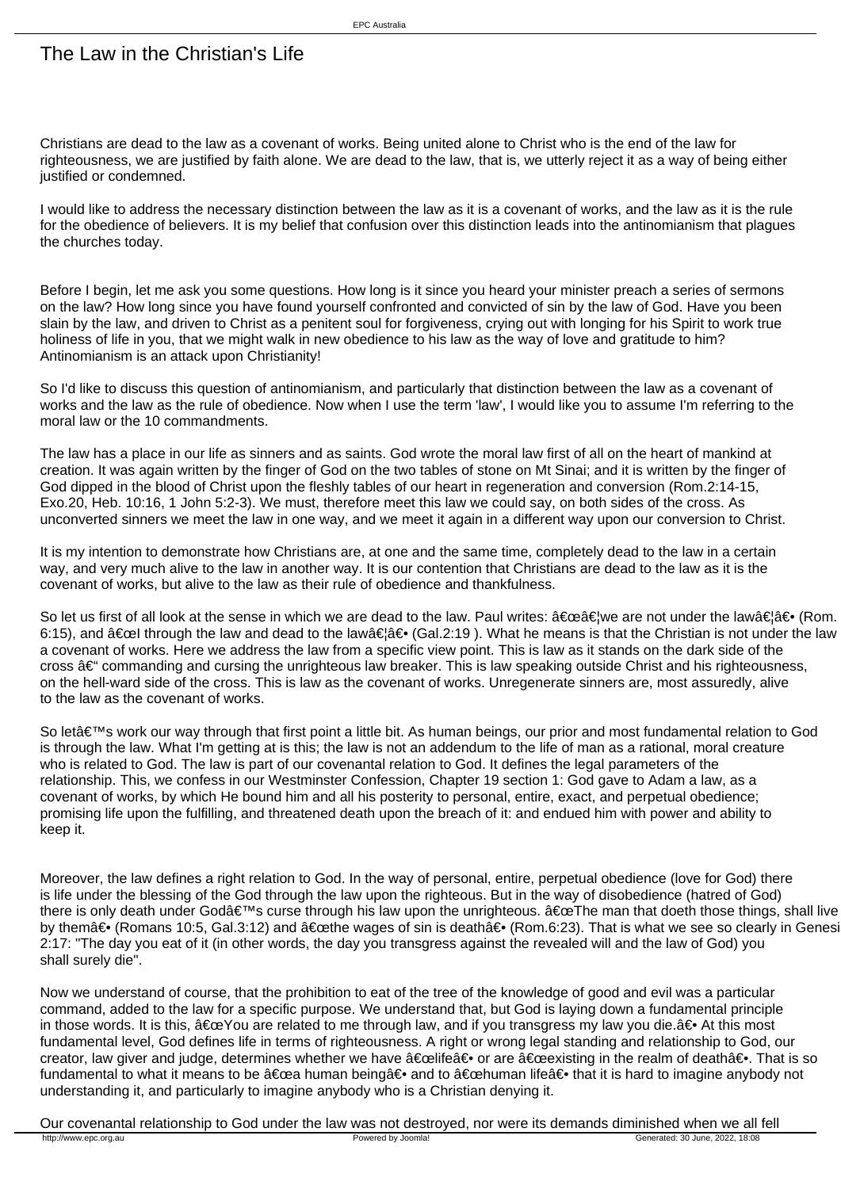## The Law in the Christian's Life

Christians are dead to the law as a covenant of works. Being united alone to Christ who is the end of the law for righteousness, we are justified by faith alone. We are dead to the law, that is, we utterly reject it as a way of being either justified or condemned.

I would like to address the necessary distinction between the law as it is a covenant of works, and the law as it is the rule for the obedience of believers. It is my belief that confusion over this distinction leads into the antinomianism that plagues the churches today.

Before I begin, let me ask you some questions. How long is it since you heard your minister preach a series of sermons on the law? How long since you have found yourself confronted and convicted of sin by the law of God. Have you been slain by the law, and driven to Christ as a penitent soul for forgiveness, crying out with longing for his Spirit to work true holiness of life in you, that we might walk in new obedience to his law as the way of love and gratitude to him? Antinomianism is an attack upon Christianity!

So I'd like to discuss this question of antinomianism, and particularly that distinction between the law as a covenant of works and the law as the rule of obedience. Now when I use the term 'law', I would like you to assume I'm referring to the moral law or the 10 commandments.

The law has a place in our life as sinners and as saints. God wrote the moral law first of all on the heart of mankind at creation. It was again written by the finger of God on the two tables of stone on Mt Sinai; and it is written by the finger of God dipped in the blood of Christ upon the fleshly tables of our heart in regeneration and conversion (Rom.2:14-15, Exo.20, Heb. 10:16, 1 John 5:2-3). We must, therefore meet this law we could say, on both sides of the cross. As unconverted sinners we meet the law in one way, and we meet it again in a different way upon our conversion to Christ.

It is my intention to demonstrate how Christians are, at one and the same time, completely dead to the law in a certain way, and very much alive to the law in another way. It is our contention that Christians are dead to the law as it is the covenant of works, but alive to the law as their rule of obedience and thankfulness.

So let us first of all look at the sense in which we are dead to the law. Paul writes: "…we are not under the law…― (Rom 6:15), and  $\hat{a} \in \text{C}$  through the law and dead to the law $\hat{a} \in \hat{a} \in \{Ga, 2:19\}$ . What he means is that the Christian is not under the law a covenant of works. Here we address the law from a specific view point. This is law as it stands on the dark side of the cross  $\hat{a}\in$  commanding and cursing the unrighteous law breaker. This is law speaking outside Christ and his righteousness, on the hell-ward side of the cross. This is law as the covenant of works. Unregenerate sinners are, most assuredly, alive to the law as the covenant of works.

So let's work our way through that first point a little bit. As human beings, our prior and most fundamental relation to God is through the law. What I'm getting at is this; the law is not an addendum to the life of man as a rational, moral creature who is related to God. The law is part of our covenantal relation to God. It defines the legal parameters of the relationship. This, we confess in our Westminster Confession, Chapter 19 section 1: God gave to Adam a law, as a covenant of works, by which He bound him and all his posterity to personal, entire, exact, and perpetual obedience; promising life upon the fulfilling, and threatened death upon the breach of it: and endued him with power and ability to keep it.

Moreover, the law defines a right relation to God. In the way of personal, entire, perpetual obedience (love for God) there is life under the blessing of the God through the law upon the righteous. But in the way of disobedience (hatred of God) there is only death under God's curse through his law upon the unrighteous. "The man that doeth those things, shall live by them― (Romans 10:5, Gal.3:12) and "the wages of sin is death― (Rom.6:23). That is what we see so clearly in Genes 2:17: "The day you eat of it (in other words, the day you transgress against the revealed will and the law of God) you shall surely die".

Now we understand of course, that the prohibition to eat of the tree of the knowledge of good and evil was a particular command, added to the law for a specific purpose. We understand that, but God is laying down a fundamental principle in those words. It is this,  $â€ce$  You are related to me through law, and if you transgress my law you die.― At this most fundamental level, God defines life in terms of righteousness. A right or wrong legal standing and relationship to God, our creator, law giver and judge, determines whether we have "life― or are "existing in the realm of death―. That is so fundamental to what it means to be "a human being― and to "human life― that it is hard to imagine anybody not understanding it, and particularly to imagine anybody who is a Christian denying it.

Our covenantal relationship to God under the law was not destroyed, nor were its demands diminished when we all fell<br> **Powered by Joomla!** Powered by Joomla! Powered by Joomla! Cenerated: 30 June, 2022, 18:08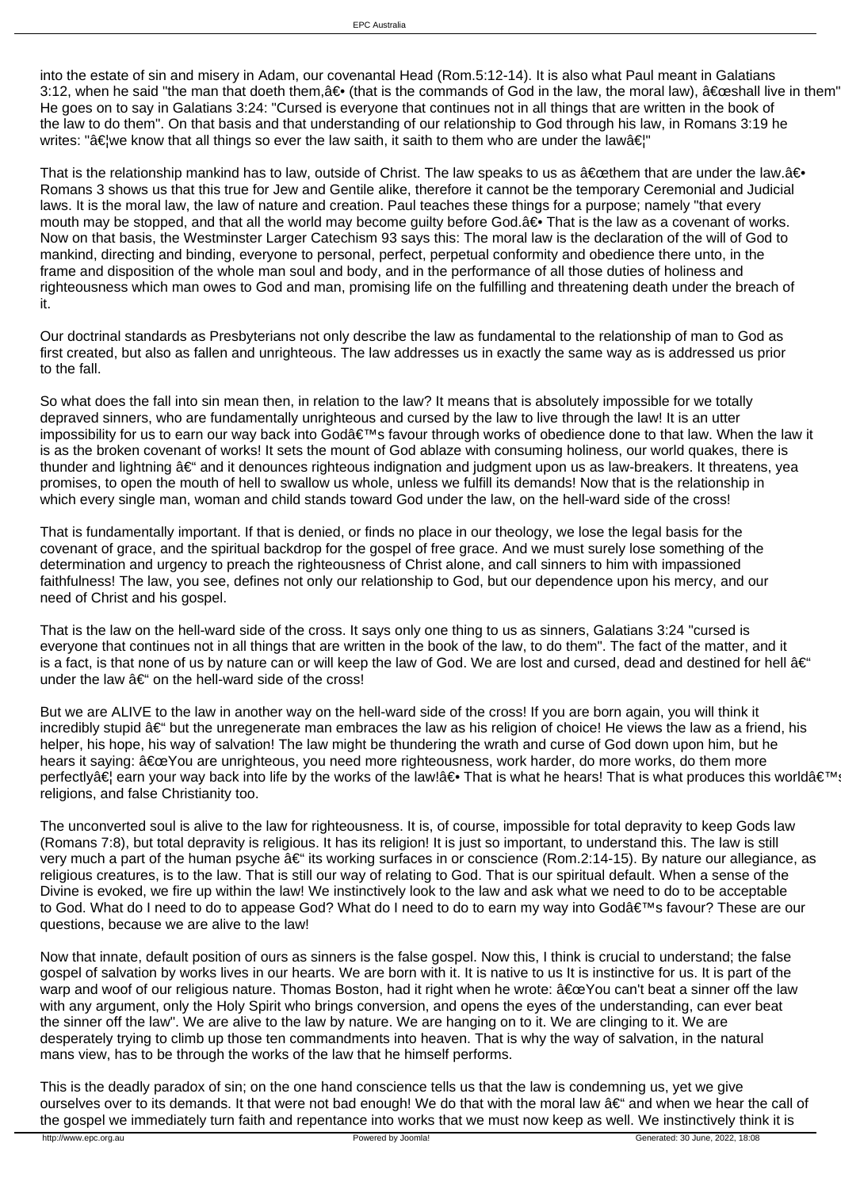into the estate of sin and misery in Adam, our covenantal Head (Rom.5:12-14). It is also what Paul meant in Galatians 3:12, when he said "the man that doeth them,  $―$  (that is the commands of God in the law, the moral law),  $â€$ œshall live in them He goes on to say in Galatians 3:24: "Cursed is everyone that continues not in all things that are written in the book of the law to do them". On that basis and that understanding of our relationship to God through his law, in Romans 3:19 he writes: "â five know that all things so ever the law saith, it saith to them who are under the law a  $\varepsilon$ !"

That is the relationship mankind has to law, outside of Christ. The law speaks to us as  $\hat{a} \in \text{center}$  that are under the law. $\hat{a} \in \cdot$ Romans 3 shows us that this true for Jew and Gentile alike, therefore it cannot be the temporary Ceremonial and Judicial laws. It is the moral law, the law of nature and creation. Paul teaches these things for a purpose; namely "that every mouth may be stopped, and that all the world may become guilty before God.― That is the law as a covenant of works. Now on that basis, the Westminster Larger Catechism 93 says this: The moral law is the declaration of the will of God to mankind, directing and binding, everyone to personal, perfect, perpetual conformity and obedience there unto, in the frame and disposition of the whole man soul and body, and in the performance of all those duties of holiness and righteousness which man owes to God and man, promising life on the fulfilling and threatening death under the breach of it.

Our doctrinal standards as Presbyterians not only describe the law as fundamental to the relationship of man to God as first created, but also as fallen and unrighteous. The law addresses us in exactly the same way as is addressed us prior to the fall.

So what does the fall into sin mean then, in relation to the law? It means that is absolutely impossible for we totally depraved sinners, who are fundamentally unrighteous and cursed by the law to live through the law! It is an utter impossibility for us to earn our way back into God's favour through works of obedience done to that law. When the law it is as the broken covenant of works! It sets the mount of God ablaze with consuming holiness, our world quakes, there is thunder and lightning  $\hat{a}\epsilon$ " and it denounces righteous indignation and judgment upon us as law-breakers. It threatens, yea promises, to open the mouth of hell to swallow us whole, unless we fulfill its demands! Now that is the relationship in which every single man, woman and child stands toward God under the law, on the hell-ward side of the cross!

That is fundamentally important. If that is denied, or finds no place in our theology, we lose the legal basis for the covenant of grace, and the spiritual backdrop for the gospel of free grace. And we must surely lose something of the determination and urgency to preach the righteousness of Christ alone, and call sinners to him with impassioned faithfulness! The law, you see, defines not only our relationship to God, but our dependence upon his mercy, and our need of Christ and his gospel.

That is the law on the hell-ward side of the cross. It says only one thing to us as sinners, Galatians 3:24 "cursed is everyone that continues not in all things that are written in the book of the law, to do them". The fact of the matter, and it is a fact, is that none of us by nature can or will keep the law of God. We are lost and cursed, dead and destined for hell  $\hat{a}\epsilon^{\mu}$ under the law  $a \in \mathcal{C}$  on the hell-ward side of the cross!

But we are ALIVE to the law in another way on the hell-ward side of the cross! If you are born again, you will think it incredibly stupid  $\hat{a} \in \hat{a}$  but the unregenerate man embraces the law as his religion of choice! He views the law as a friend, his helper, his hope, his way of salvation! The law might be thundering the wrath and curse of God down upon him, but he hears it saying: "You are unrighteous, you need more righteousness, work harder, do more works, do them more perfectly at learn your way back into life by the works of the law! at That is what he hears! That is what produces this world at  $\epsilon^{T}$ religions, and false Christianity too.

The unconverted soul is alive to the law for righteousness. It is, of course, impossible for total depravity to keep Gods law (Romans 7:8), but total depravity is religious. It has its religion! It is just so important, to understand this. The law is still very much a part of the human psyche  $\hat{a} \in \hat{a}$  its working surfaces in or conscience (Rom.2:14-15). By nature our allegiance, as religious creatures, is to the law. That is still our way of relating to God. That is our spiritual default. When a sense of the Divine is evoked, we fire up within the law! We instinctively look to the law and ask what we need to do to be acceptable to God. What do I need to do to appease God? What do I need to do to earn my way into God's favour? These are our questions, because we are alive to the law!

Now that innate, default position of ours as sinners is the false gospel. Now this, I think is crucial to understand; the false gospel of salvation by works lives in our hearts. We are born with it. It is native to us It is instinctive for us. It is part of the warp and woof of our religious nature. Thomas Boston, had it right when he wrote: "You can't beat a sinner off the law with any argument, only the Holy Spirit who brings conversion, and opens the eyes of the understanding, can ever beat the sinner off the law". We are alive to the law by nature. We are hanging on to it. We are clinging to it. We are desperately trying to climb up those ten commandments into heaven. That is why the way of salvation, in the natural mans view, has to be through the works of the law that he himself performs.

This is the deadly paradox of sin; on the one hand conscience tells us that the law is condemning us, yet we give ourselves over to its demands. It that were not bad enough! We do that with the moral law  $a \in \mathbb{C}$  and when we hear the call of the gospel we immediately turn faith and repentance into works that we must now keep as well. We instinctively think it is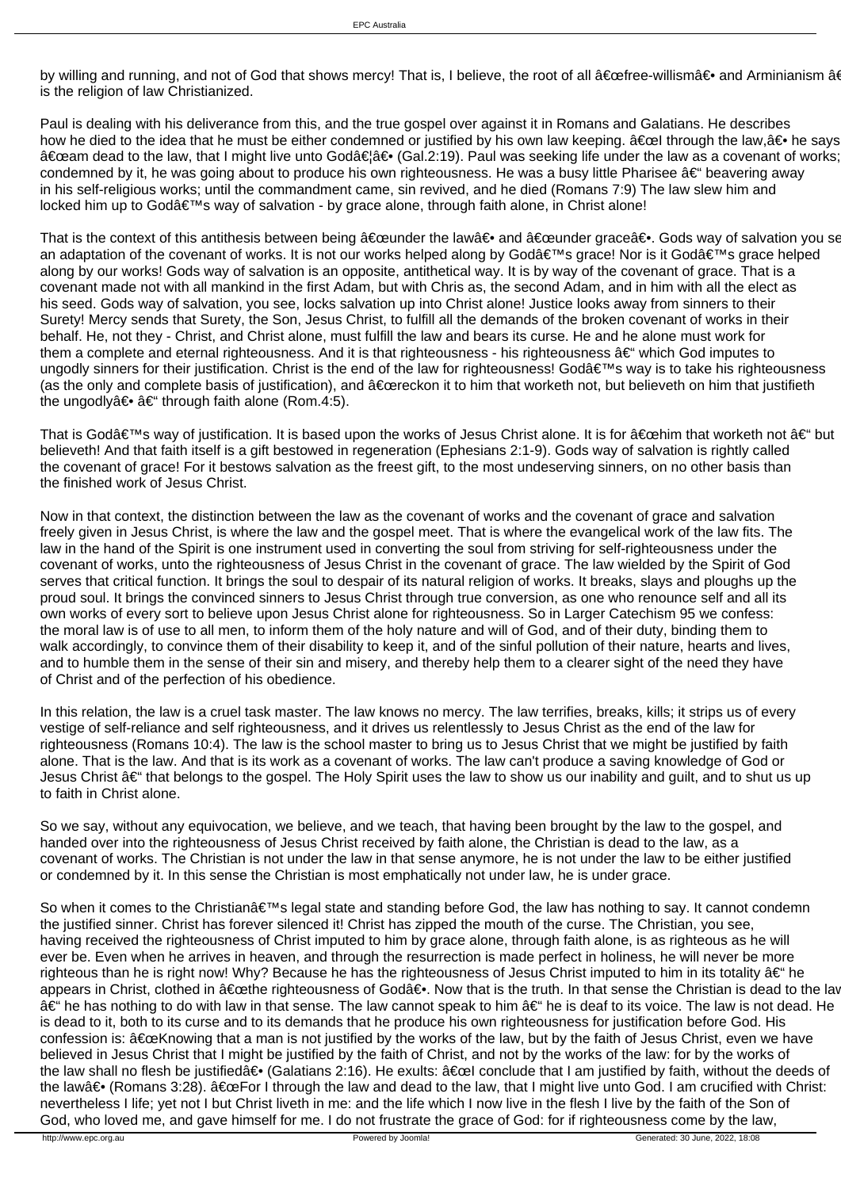by willing and running, and not of God that shows mercy! That is, I believe, the root of all "free-willism― and Arminianism â is the religion of law Christianized.

Paul is dealing with his deliverance from this, and the true gospel over against it in Romans and Galatians. He describes how he died to the idea that he must be either condemned or justified by his own law keeping. a€œl through the law,a€ he says "am dead to the law, that I might live unto Godɉۥ (Gal.2:19). Paul was seeking life under the law as a covenant of works condemned by it, he was going about to produce his own righteousness. He was a busy little Pharisee – beavering away in his self-religious works; until the commandment came, sin revived, and he died (Romans 7:9) The law slew him and locked him up to God's way of salvation - by grace alone, through faith alone, in Christ alone!

That is the context of this antithesis between being  $\hat{a} \in \text{ceunder}$  the law $\hat{a} \in \bullet$  and  $\hat{a} \in \text{ceunder}$  rander grace  $\hat{a} \in \bullet$ . Gods way of salvation you set an adaptation of the covenant of works. It is not our works helped along by God's grace! Nor is it God's grace helped along by our works! Gods way of salvation is an opposite, antithetical way. It is by way of the covenant of grace. That is a covenant made not with all mankind in the first Adam, but with Chris as, the second Adam, and in him with all the elect as his seed. Gods way of salvation, you see, locks salvation up into Christ alone! Justice looks away from sinners to their Surety! Mercy sends that Surety, the Son, Jesus Christ, to fulfill all the demands of the broken covenant of works in their behalf. He, not they - Christ, and Christ alone, must fulfill the law and bears its curse. He and he alone must work for them a complete and eternal righteousness. And it is that righteousness - his righteousness  $\hat{a} \in \hat{a}$  which God imputes to ungodly sinners for their justification. Christ is the end of the law for righteousness! God's way is to take his righteousness (as the only and complete basis of justification), and  $\hat{a} \in$  dereckon it to him that worketh not, but believeth on him that justifieth the ungodly― – through faith alone (Rom.4:5).

That is Godâ $\epsilon_{\text{M}}$  way of justification. It is based upon the works of Jesus Christ alone. It is for  $\hat{\alpha}$  at the worketh not  $\hat{\alpha} \epsilon_{\text{M}}$  but believeth! And that faith itself is a gift bestowed in regeneration (Ephesians 2:1-9). Gods way of salvation is rightly called the covenant of grace! For it bestows salvation as the freest gift, to the most undeserving sinners, on no other basis than the finished work of Jesus Christ.

Now in that context, the distinction between the law as the covenant of works and the covenant of grace and salvation freely given in Jesus Christ, is where the law and the gospel meet. That is where the evangelical work of the law fits. The law in the hand of the Spirit is one instrument used in converting the soul from striving for self-righteousness under the covenant of works, unto the righteousness of Jesus Christ in the covenant of grace. The law wielded by the Spirit of God serves that critical function. It brings the soul to despair of its natural religion of works. It breaks, slays and ploughs up the proud soul. It brings the convinced sinners to Jesus Christ through true conversion, as one who renounce self and all its own works of every sort to believe upon Jesus Christ alone for righteousness. So in Larger Catechism 95 we confess: the moral law is of use to all men, to inform them of the holy nature and will of God, and of their duty, binding them to walk accordingly, to convince them of their disability to keep it, and of the sinful pollution of their nature, hearts and lives, and to humble them in the sense of their sin and misery, and thereby help them to a clearer sight of the need they have of Christ and of the perfection of his obedience.

In this relation, the law is a cruel task master. The law knows no mercy. The law terrifies, breaks, kills; it strips us of every vestige of self-reliance and self righteousness, and it drives us relentlessly to Jesus Christ as the end of the law for righteousness (Romans 10:4). The law is the school master to bring us to Jesus Christ that we might be justified by faith alone. That is the law. And that is its work as a covenant of works. The law can't produce a saving knowledge of God or Jesus Christ †that belongs to the gospel. The Holy Spirit uses the law to show us our inability and guilt, and to shut us up to faith in Christ alone.

So we say, without any equivocation, we believe, and we teach, that having been brought by the law to the gospel, and handed over into the righteousness of Jesus Christ received by faith alone, the Christian is dead to the law, as a covenant of works. The Christian is not under the law in that sense anymore, he is not under the law to be either justified or condemned by it. In this sense the Christian is most emphatically not under law, he is under grace.

So when it comes to the Christian's legal state and standing before God, the law has nothing to say. It cannot condemn the justified sinner. Christ has forever silenced it! Christ has zipped the mouth of the curse. The Christian, you see, having received the righteousness of Christ imputed to him by grace alone, through faith alone, is as righteous as he will ever be. Even when he arrives in heaven, and through the resurrection is made perfect in holiness, he will never be more righteous than he is right now! Why? Because he has the righteousness of Jesus Christ imputed to him in its totality  $\hat{a} \in \hat{a}$  he appears in Christ, clothed in "the righteousness of Godâ€. Now that is the truth. In that sense the Christian is dead to the la – he has nothing to do with law in that sense. The law cannot speak to him – he is deaf to its voice. The law is not dead. He is dead to it, both to its curse and to its demands that he produce his own righteousness for justification before God. His confession is:  $\hat{\alpha} \in \text{ceK}$ nowing that a man is not justified by the works of the law, but by the faith of Jesus Christ, even we have believed in Jesus Christ that I might be justified by the faith of Christ, and not by the works of the law: for by the works of the law shall no flesh be justified― (Galatians 2:16). He exults: "l conclude that I am justified by faith, without the deeds of the law― (Romans 3:28).  $â€ceFor I$  through the law and dead to the law, that I might live unto God. I am crucified with Christ: nevertheless I life; yet not I but Christ liveth in me: and the life which I now live in the flesh I live by the faith of the Son of God, who loved me, and gave himself for me. I do not frustrate the grace of God: for if righteousness come by the law,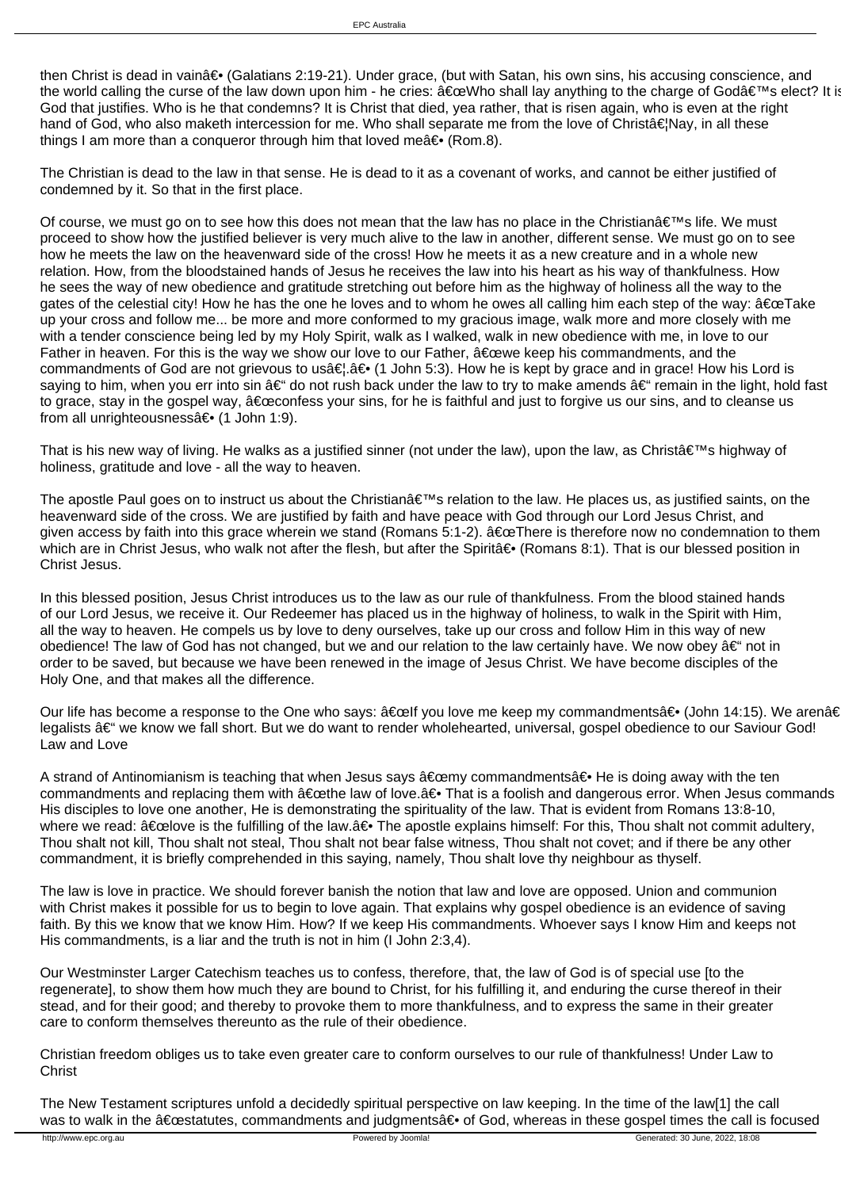then Christ is dead in vain― (Galatians 2:19-21). Under grace, (but with Satan, his own sins, his accusing conscience, and the world calling the curse of the law down upon him - he cries:  $\hat{\alpha} \in \alpha$ Who shall lay anything to the charge of God $\hat{\alpha} \in \alpha$ <sup>M</sup>s elect? It is God that justifies. Who is he that condemns? It is Christ that died, yea rather, that is risen again, who is even at the right hand of God, who also maketh intercession for me. Who shall separate me from the love of Christâ€lNay, in all these things I am more than a conqueror through him that loved mea $\epsilon \cdot$  (Rom.8).

The Christian is dead to the law in that sense. He is dead to it as a covenant of works, and cannot be either justified of condemned by it. So that in the first place.

Of course, we must go on to see how this does not mean that the law has no place in the Christian $\hat{a} \in \mathbb{N}$ s life. We must proceed to show how the justified believer is very much alive to the law in another, different sense. We must go on to see how he meets the law on the heavenward side of the cross! How he meets it as a new creature and in a whole new relation. How, from the bloodstained hands of Jesus he receives the law into his heart as his way of thankfulness. How he sees the way of new obedience and gratitude stretching out before him as the highway of holiness all the way to the gates of the celestial city! How he has the one he loves and to whom he owes all calling him each step of the way:  $\hat{a} \in \mathbb{C}$ Take up your cross and follow me... be more and more conformed to my gracious image, walk more and more closely with me with a tender conscience being led by my Holy Spirit, walk as I walked, walk in new obedience with me, in love to our Father in heaven. For this is the way we show our love to our Father,  $\hat{a} \in \hat{c}$  we keep his commandments, and the commandments of God are not grievous to usâ€, ― (1 John 5:3). How he is kept by grace and in grace! How his Lord is saying to him, when you err into sin â $\epsilon^*$  do not rush back under the law to try to make amends â $\epsilon^*$  remain in the light, hold fast to grace, stay in the gospel way,  $â€\alpha$  confess your sins, for he is faithful and just to forgive us our sins, and to cleanse us from all unrighteousnessa ∈• (1 John 1:9).

That is his new way of living. He walks as a justified sinner (not under the law), upon the law, as Christâ $\in \mathbb{N}$  highway of holiness, gratitude and love - all the way to heaven.

The apostle Paul goes on to instruct us about the Christian $\hat{\mathbf{a}} \in \mathbb{M}$ s relation to the law. He places us, as justified saints, on the heavenward side of the cross. We are justified by faith and have peace with God through our Lord Jesus Christ, and given access by faith into this grace wherein we stand (Romans 5:1-2).  $"There$  is therefore now no condemnation to them which are in Christ Jesus, who walk not after the flesh, but after the Spiritaۥ (Romans 8:1). That is our blessed position in Christ Jesus.

In this blessed position, Jesus Christ introduces us to the law as our rule of thankfulness. From the blood stained hands of our Lord Jesus, we receive it. Our Redeemer has placed us in the highway of holiness, to walk in the Spirit with Him, all the way to heaven. He compels us by love to deny ourselves, take up our cross and follow Him in this way of new obedience! The law of God has not changed, but we and our relation to the law certainly have. We now obey  $\hat{a}\in$  " not in order to be saved, but because we have been renewed in the image of Jesus Christ. We have become disciples of the Holy One, and that makes all the difference.

Our life has become a response to the One who says:  $\hat{a} \in \text{celf}$  you love me keep my commandments $\hat{a} \in \text{oloh}$  14:15). We aren $\hat{a} \in \text{cl}$ legalists – we know we fall short. But we do want to render wholehearted, universal, gospel obedience to our Saviour God! Law and Love

A strand of Antinomianism is teaching that when Jesus says  $\hat{a} \in \text{comp}$  commandments $\hat{a} \in \bullet$  He is doing away with the ten commandments and replacing them with  $â€$ œthe law of love. $―$  That is a foolish and dangerous error. When Jesus commands His disciples to love one another, He is demonstrating the spirituality of the law. That is evident from Romans 13:8-10, where we read:  $â€$ celove is the fulfilling of the law. $―$  The apostle explains himself: For this, Thou shalt not commit adultery, Thou shalt not kill, Thou shalt not steal, Thou shalt not bear false witness, Thou shalt not covet; and if there be any other commandment, it is briefly comprehended in this saying, namely, Thou shalt love thy neighbour as thyself.

The law is love in practice. We should forever banish the notion that law and love are opposed. Union and communion with Christ makes it possible for us to begin to love again. That explains why gospel obedience is an evidence of saving faith. By this we know that we know Him. How? If we keep His commandments. Whoever says I know Him and keeps not His commandments, is a liar and the truth is not in him (I John 2:3,4).

Our Westminster Larger Catechism teaches us to confess, therefore, that, the law of God is of special use [to the regenerate], to show them how much they are bound to Christ, for his fulfilling it, and enduring the curse thereof in their stead, and for their good; and thereby to provoke them to more thankfulness, and to express the same in their greater care to conform themselves thereunto as the rule of their obedience.

Christian freedom obliges us to take even greater care to conform ourselves to our rule of thankfulness! Under Law to **Christ** 

The New Testament scriptures unfold a decidedly spiritual perspective on law keeping. In the time of the law[1] the call was to walk in the "statutes, commandments and judgments― of God, whereas in these gospel times the call is focused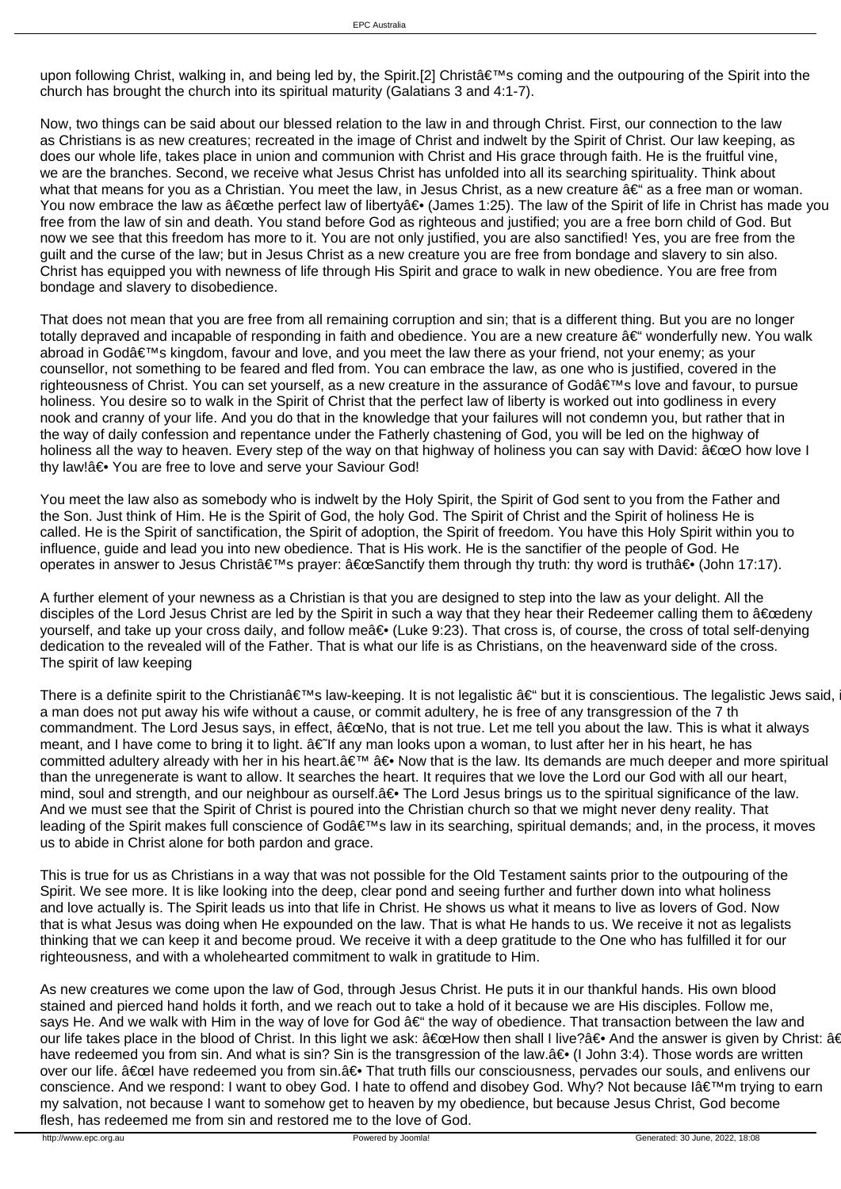upon following Christ, walking in, and being led by, the Spirit.[2] Christ's coming and the outpouring of the Spirit into the church has brought the church into its spiritual maturity (Galatians 3 and 4:1-7).

Now, two things can be said about our blessed relation to the law in and through Christ. First, our connection to the law as Christians is as new creatures; recreated in the image of Christ and indwelt by the Spirit of Christ. Our law keeping, as does our whole life, takes place in union and communion with Christ and His grace through faith. He is the fruitful vine, we are the branches. Second, we receive what Jesus Christ has unfolded into all its searching spirituality. Think about what that means for you as a Christian. You meet the law, in Jesus Christ, as a new creature  $\hat{a}\epsilon$  as a free man or woman. You now embrace the law as "the perfect law of liberty― (James 1:25). The law of the Spirit of life in Christ has made you free from the law of sin and death. You stand before God as righteous and justified; you are a free born child of God. But now we see that this freedom has more to it. You are not only justified, you are also sanctified! Yes, you are free from the guilt and the curse of the law; but in Jesus Christ as a new creature you are free from bondage and slavery to sin also. Christ has equipped you with newness of life through His Spirit and grace to walk in new obedience. You are free from bondage and slavery to disobedience.

That does not mean that you are free from all remaining corruption and sin; that is a different thing. But you are no longer totally depraved and incapable of responding in faith and obedience. You are a new creature  $\hat{a}\in\hat{ }$  wonderfully new. You walk abroad in Godâ $\epsilon_{\text{TM}}$ s kingdom, favour and love, and you meet the law there as your friend, not your enemy; as your counsellor, not something to be feared and fled from. You can embrace the law, as one who is justified, covered in the righteousness of Christ. You can set yourself, as a new creature in the assurance of God's love and favour, to pursue holiness. You desire so to walk in the Spirit of Christ that the perfect law of liberty is worked out into godliness in every nook and cranny of your life. And you do that in the knowledge that your failures will not condemn you, but rather that in the way of daily confession and repentance under the Fatherly chastening of God, you will be led on the highway of holiness all the way to heaven. Every step of the way on that highway of holiness you can say with David:  $\hat{\alpha} \in \infty$  how love I thy law!― You are free to love and serve your Saviour God!

You meet the law also as somebody who is indwelt by the Holy Spirit, the Spirit of God sent to you from the Father and the Son. Just think of Him. He is the Spirit of God, the holy God. The Spirit of Christ and the Spirit of holiness He is called. He is the Spirit of sanctification, the Spirit of adoption, the Spirit of freedom. You have this Holy Spirit within you to influence, guide and lead you into new obedience. That is His work. He is the sanctifier of the people of God. He operates in answer to Jesus Christ's prayer:  $â€ceS$ anctify them through thy truth: thy word is truth― (John 17:17).

A further element of your newness as a Christian is that you are designed to step into the law as your delight. All the disciples of the Lord Jesus Christ are led by the Spirit in such a way that they hear their Redeemer calling them to  $\hat{a} \in \text{cedenv}$ yourself, and take up your cross daily, and follow meâ€. (Luke 9:23). That cross is, of course, the cross of total self-denying dedication to the revealed will of the Father. That is what our life is as Christians, on the heavenward side of the cross. The spirit of law keeping

There is a definite spirit to the Christian $\hat{\epsilon} \in \mathbb{N}$ s law-keeping. It is not legalistic  $\hat{\epsilon} \in \mathbb{N}$  but it is conscientious. The legalistic Jews said, a man does not put away his wife without a cause, or commit adultery, he is free of any transgression of the 7 th commandment. The Lord Jesus says, in effect,  $â€ceNo$ , that is not true. Let me tell you about the law. This is what it always meant, and I have come to bring it to light.  $â€$  If any man looks upon a woman, to lust after her in his heart, he has committed adultery already with her in his heart. a€<sup>™</sup> a ie Now that is the law. Its demands are much deeper and more spiritual than the unregenerate is want to allow. It searches the heart. It requires that we love the Lord our God with all our heart, mind, soul and strength, and our neighbour as ourself.― The Lord Jesus brings us to the spiritual significance of the law. And we must see that the Spirit of Christ is poured into the Christian church so that we might never deny reality. That leading of the Spirit makes full conscience of God's law in its searching, spiritual demands; and, in the process, it moves us to abide in Christ alone for both pardon and grace.

This is true for us as Christians in a way that was not possible for the Old Testament saints prior to the outpouring of the Spirit. We see more. It is like looking into the deep, clear pond and seeing further and further down into what holiness and love actually is. The Spirit leads us into that life in Christ. He shows us what it means to live as lovers of God. Now that is what Jesus was doing when He expounded on the law. That is what He hands to us. We receive it not as legalists thinking that we can keep it and become proud. We receive it with a deep gratitude to the One who has fulfilled it for our righteousness, and with a wholehearted commitment to walk in gratitude to Him.

As new creatures we come upon the law of God, through Jesus Christ. He puts it in our thankful hands. His own blood stained and pierced hand holds it forth, and we reach out to take a hold of it because we are His disciples. Follow me, says He. And we walk with Him in the way of love for God  $a \in$ " the way of obedience. That transaction between the law and our life takes place in the blood of Christ. In this light we ask:  $â€ceHow$  then shall I live? $―$  And the answer is given by Christ:  $â$ have redeemed you from sin. And what is sin? Sin is the transgression of the law.― (I John 3:4). Those words are written over our life. "l have redeemed you from sin.― That truth fills our consciousness, pervades our souls, and enlivens our conscience. And we respond: I want to obey God. I hate to offend and disobey God. Why? Not because I'm trying to earn my salvation, not because I want to somehow get to heaven by my obedience, but because Jesus Christ, God become flesh, has redeemed me from sin and restored me to the love of God.